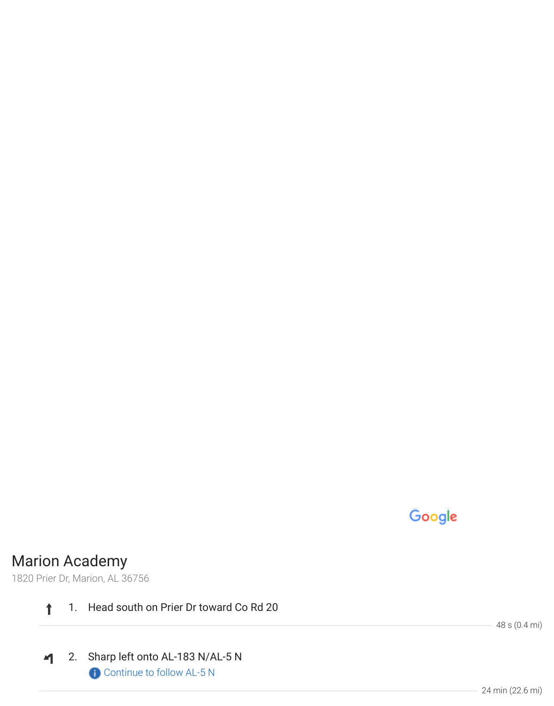## Google

## Marion Academy

1820 Prier Dr, Marion, AL 36756

 $\ddagger$ 1. Head south on Prier Dr toward Co Rd 20

2. Sharp left onto AL-183 N/AL-5 N  $\blacktriangleleft$ Continue to follow AL-5 N

48 s (0.4 mi)